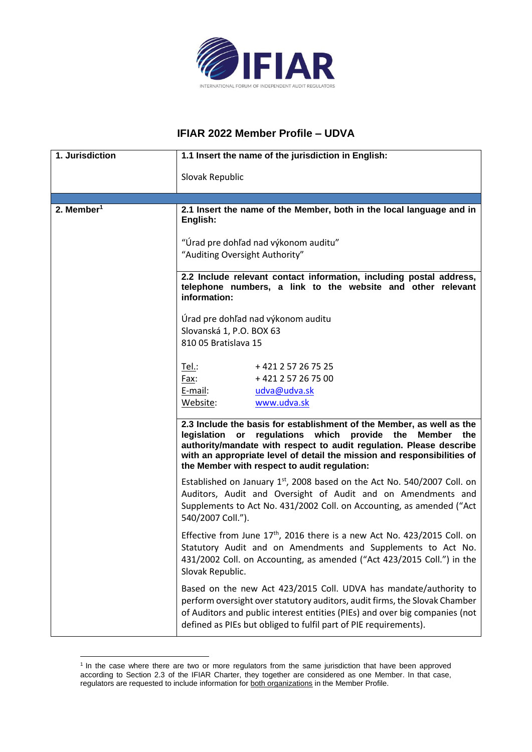

## **IFIAR 2022 Member Profile – UDVA**

| 1. Jurisdiction        | 1.1 Insert the name of the jurisdiction in English:                                                                                                                                                                                                                                                                                   |
|------------------------|---------------------------------------------------------------------------------------------------------------------------------------------------------------------------------------------------------------------------------------------------------------------------------------------------------------------------------------|
|                        | Slovak Republic                                                                                                                                                                                                                                                                                                                       |
|                        |                                                                                                                                                                                                                                                                                                                                       |
| 2. Member <sup>1</sup> | 2.1 Insert the name of the Member, both in the local language and in<br>English:                                                                                                                                                                                                                                                      |
|                        | "Úrad pre dohľad nad výkonom auditu"<br>"Auditing Oversight Authority"                                                                                                                                                                                                                                                                |
|                        |                                                                                                                                                                                                                                                                                                                                       |
|                        | 2.2 Include relevant contact information, including postal address,<br>telephone numbers, a link to the website and other relevant<br>information:                                                                                                                                                                                    |
|                        |                                                                                                                                                                                                                                                                                                                                       |
|                        | Úrad pre dohľad nad výkonom auditu<br>Slovanská 1, P.O. BOX 63                                                                                                                                                                                                                                                                        |
|                        | 810 05 Bratislava 15                                                                                                                                                                                                                                                                                                                  |
|                        |                                                                                                                                                                                                                                                                                                                                       |
|                        | Tel.:<br>+421257267525                                                                                                                                                                                                                                                                                                                |
|                        | Fax:<br>+421257267500                                                                                                                                                                                                                                                                                                                 |
|                        | E-mail:<br>udva@udva.sk                                                                                                                                                                                                                                                                                                               |
|                        | www.udva.sk<br>Website:                                                                                                                                                                                                                                                                                                               |
|                        |                                                                                                                                                                                                                                                                                                                                       |
|                        | 2.3 Include the basis for establishment of the Member, as well as the<br>legislation or regulations which provide the<br>Member the<br>authority/mandate with respect to audit regulation. Please describe<br>with an appropriate level of detail the mission and responsibilities of<br>the Member with respect to audit regulation: |
|                        | Established on January $1st$ , 2008 based on the Act No. 540/2007 Coll. on<br>Auditors, Audit and Oversight of Audit and on Amendments and<br>Supplements to Act No. 431/2002 Coll. on Accounting, as amended ("Act<br>540/2007 Coll.").                                                                                              |
|                        | Effective from June $17th$ , 2016 there is a new Act No. 423/2015 Coll. on<br>Statutory Audit and on Amendments and Supplements to Act No.<br>431/2002 Coll. on Accounting, as amended ("Act 423/2015 Coll.") in the<br>Slovak Republic.                                                                                              |
|                        | Based on the new Act 423/2015 Coll. UDVA has mandate/authority to<br>perform oversight over statutory auditors, audit firms, the Slovak Chamber<br>of Auditors and public interest entities (PIEs) and over big companies (not<br>defined as PIEs but obliged to fulfil part of PIE requirements).                                    |

<sup>&</sup>lt;sup>1</sup> In the case where there are two or more regulators from the same jurisdiction that have been approved according to Section 2.3 of the IFIAR Charter, they together are considered as one Member. In that case, regulators are requested to include information for both organizations in the Member Profile.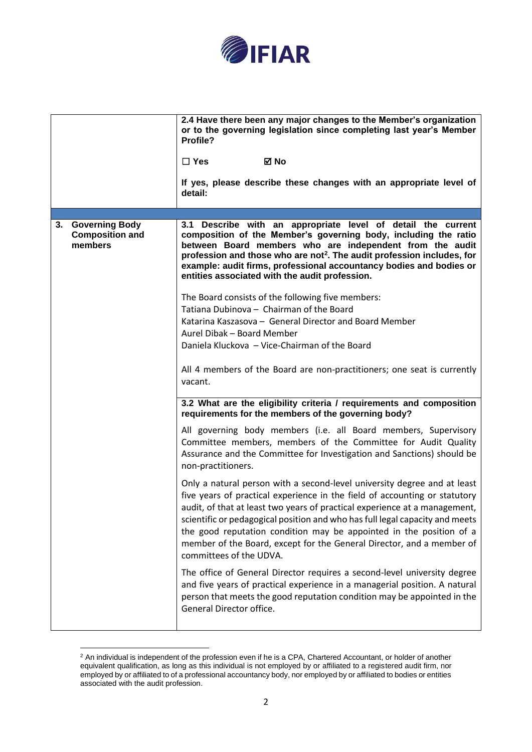

| <b>Governing Body</b><br>3.1 Describe with an appropriate level of detail the current<br>3.<br><b>Composition and</b><br>composition of the Member's governing body, including the ratio<br>members<br>between Board members who are independent from the audit<br>profession and those who are not <sup>2</sup> . The audit profession includes, for<br>example: audit firms, professional accountancy bodies and bodies or<br>entities associated with the audit profession.<br>The Board consists of the following five members:<br>Tatiana Dubinova - Chairman of the Board<br>Katarina Kaszasova - General Director and Board Member<br>Aurel Dibak - Board Member<br>Daniela Kluckova - Vice-Chairman of the Board<br>All 4 members of the Board are non-practitioners; one seat is currently<br>vacant.<br>3.2 What are the eligibility criteria / requirements and composition<br>requirements for the members of the governing body?<br>All governing body members (i.e. all Board members, Supervisory<br>Committee members, members of the Committee for Audit Quality<br>Assurance and the Committee for Investigation and Sanctions) should be<br>non-practitioners.<br>Only a natural person with a second-level university degree and at least<br>five years of practical experience in the field of accounting or statutory<br>audit, of that at least two years of practical experience at a management,<br>scientific or pedagogical position and who has full legal capacity and meets<br>the good reputation condition may be appointed in the position of a<br>member of the Board, except for the General Director, and a member of<br>committees of the UDVA.<br>The office of General Director requires a second-level university degree<br>and five years of practical experience in a managerial position. A natural<br>person that meets the good reputation condition may be appointed in the<br>General Director office. | 2.4 Have there been any major changes to the Member's organization<br>or to the governing legislation since completing last year's Member<br>Profile?<br><b>⊠</b> No<br>$\Box$ Yes<br>If yes, please describe these changes with an appropriate level of<br>detail: |
|-------------------------------------------------------------------------------------------------------------------------------------------------------------------------------------------------------------------------------------------------------------------------------------------------------------------------------------------------------------------------------------------------------------------------------------------------------------------------------------------------------------------------------------------------------------------------------------------------------------------------------------------------------------------------------------------------------------------------------------------------------------------------------------------------------------------------------------------------------------------------------------------------------------------------------------------------------------------------------------------------------------------------------------------------------------------------------------------------------------------------------------------------------------------------------------------------------------------------------------------------------------------------------------------------------------------------------------------------------------------------------------------------------------------------------------------------------------------------------------------------------------------------------------------------------------------------------------------------------------------------------------------------------------------------------------------------------------------------------------------------------------------------------------------------------------------------------------------------------------------------------------------------------------------------------------------------------|---------------------------------------------------------------------------------------------------------------------------------------------------------------------------------------------------------------------------------------------------------------------|
|                                                                                                                                                                                                                                                                                                                                                                                                                                                                                                                                                                                                                                                                                                                                                                                                                                                                                                                                                                                                                                                                                                                                                                                                                                                                                                                                                                                                                                                                                                                                                                                                                                                                                                                                                                                                                                                                                                                                                       |                                                                                                                                                                                                                                                                     |

 $2$  An individual is independent of the profession even if he is a CPA, Chartered Accountant, or holder of another equivalent qualification, as long as this individual is not employed by or affiliated to a registered audit firm, nor employed by or affiliated to of a professional accountancy body, nor employed by or affiliated to bodies or entities associated with the audit profession.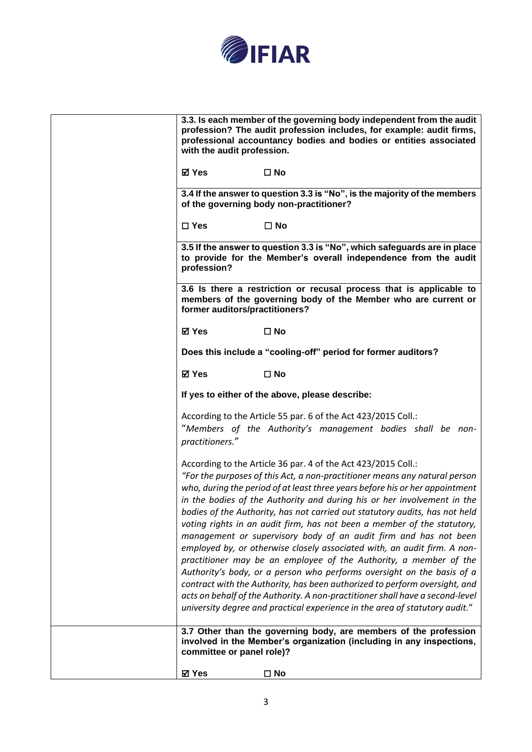

| employed by, or otherwise closely associated with, an audit firm. A non-<br>practitioner may be an employee of the Authority, a member of the<br>Authority's body, or a person who performs oversight on the basis of a<br>contract with the Authority, has been authorized to perform oversight, and<br>acts on behalf of the Authority. A non-practitioner shall have a second-level<br>university degree and practical experience in the area of statutory audit."<br>3.7 Other than the governing body, are members of the profession<br>involved in the Member's organization (including in any inspections,<br>committee or panel role)? |
|------------------------------------------------------------------------------------------------------------------------------------------------------------------------------------------------------------------------------------------------------------------------------------------------------------------------------------------------------------------------------------------------------------------------------------------------------------------------------------------------------------------------------------------------------------------------------------------------------------------------------------------------|
|                                                                                                                                                                                                                                                                                                                                                                                                                                                                                                                                                                                                                                                |
| practitioners."<br>According to the Article 36 par. 4 of the Act 423/2015 Coll.:<br>"For the purposes of this Act, a non-practitioner means any natural person<br>who, during the period of at least three years before his or her appointment<br>in the bodies of the Authority and during his or her involvement in the<br>bodies of the Authority, has not carried out statutory audits, has not held<br>voting rights in an audit firm, has not been a member of the statutory,<br>management or supervisory body of an audit firm and has not been                                                                                        |
| According to the Article 55 par. 6 of the Act 423/2015 Coll.:<br>"Members of the Authority's management bodies shall be non-                                                                                                                                                                                                                                                                                                                                                                                                                                                                                                                   |
| If yes to either of the above, please describe:                                                                                                                                                                                                                                                                                                                                                                                                                                                                                                                                                                                                |
| ⊠ Yes<br>$\square$ No                                                                                                                                                                                                                                                                                                                                                                                                                                                                                                                                                                                                                          |
| Does this include a "cooling-off" period for former auditors?                                                                                                                                                                                                                                                                                                                                                                                                                                                                                                                                                                                  |
| <b>⊠</b> Yes<br>$\square$ No                                                                                                                                                                                                                                                                                                                                                                                                                                                                                                                                                                                                                   |
| 3.6 Is there a restriction or recusal process that is applicable to<br>members of the governing body of the Member who are current or<br>former auditors/practitioners?                                                                                                                                                                                                                                                                                                                                                                                                                                                                        |
| 3.5 If the answer to question 3.3 is "No", which safeguards are in place<br>to provide for the Member's overall independence from the audit<br>profession?                                                                                                                                                                                                                                                                                                                                                                                                                                                                                     |
| $\Box$ Yes<br>$\Box$ No                                                                                                                                                                                                                                                                                                                                                                                                                                                                                                                                                                                                                        |
| 3.4 If the answer to question 3.3 is "No", is the majority of the members<br>of the governing body non-practitioner?                                                                                                                                                                                                                                                                                                                                                                                                                                                                                                                           |
| ⊠ Yes<br>$\square$ No                                                                                                                                                                                                                                                                                                                                                                                                                                                                                                                                                                                                                          |
| 3.3. Is each member of the governing body independent from the audit<br>profession? The audit profession includes, for example: audit firms,<br>professional accountancy bodies and bodies or entities associated<br>with the audit profession.                                                                                                                                                                                                                                                                                                                                                                                                |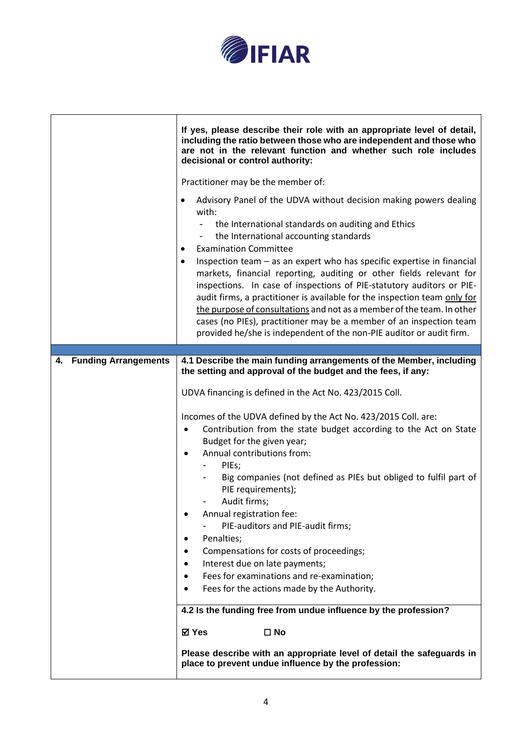

|                         | If yes, please describe their role with an appropriate level of detail,<br>including the ratio between those who are independent and those who<br>are not in the relevant function and whether such role includes<br>decisional or control authority:                                                                                                                                                                                              |
|-------------------------|----------------------------------------------------------------------------------------------------------------------------------------------------------------------------------------------------------------------------------------------------------------------------------------------------------------------------------------------------------------------------------------------------------------------------------------------------|
|                         | Practitioner may be the member of:<br>Advisory Panel of the UDVA without decision making powers dealing<br>with:                                                                                                                                                                                                                                                                                                                                   |
|                         | the International standards on auditing and Ethics<br>the International accounting standards<br>-<br><b>Examination Committee</b><br>٠<br>Inspection team - as an expert who has specific expertise in financial                                                                                                                                                                                                                                   |
|                         | markets, financial reporting, auditing or other fields relevant for<br>inspections. In case of inspections of PIE-statutory auditors or PIE-<br>audit firms, a practitioner is available for the inspection team only for<br>the purpose of consultations and not as a member of the team. In other<br>cases (no PIEs), practitioner may be a member of an inspection team<br>provided he/she is independent of the non-PIE auditor or audit firm. |
|                         |                                                                                                                                                                                                                                                                                                                                                                                                                                                    |
| 4. Funding Arrangements | 4.1 Describe the main funding arrangements of the Member, including<br>the setting and approval of the budget and the fees, if any:                                                                                                                                                                                                                                                                                                                |
|                         | UDVA financing is defined in the Act No. 423/2015 Coll.                                                                                                                                                                                                                                                                                                                                                                                            |
|                         | Incomes of the UDVA defined by the Act No. 423/2015 Coll. are:                                                                                                                                                                                                                                                                                                                                                                                     |
|                         | Contribution from the state budget according to the Act on State<br>٠                                                                                                                                                                                                                                                                                                                                                                              |
|                         | Budget for the given year;                                                                                                                                                                                                                                                                                                                                                                                                                         |
|                         | Annual contributions from:<br>$\bullet$                                                                                                                                                                                                                                                                                                                                                                                                            |
|                         | PIEs;<br>Big companies (not defined as PIEs but obliged to fulfil part of<br>PIE requirements);                                                                                                                                                                                                                                                                                                                                                    |
|                         | Audit firms;                                                                                                                                                                                                                                                                                                                                                                                                                                       |
|                         | Annual registration fee:<br>PIE-auditors and PIE-audit firms;                                                                                                                                                                                                                                                                                                                                                                                      |
|                         | Penalties;                                                                                                                                                                                                                                                                                                                                                                                                                                         |
|                         | Compensations for costs of proceedings;                                                                                                                                                                                                                                                                                                                                                                                                            |
|                         | Interest due on late payments;                                                                                                                                                                                                                                                                                                                                                                                                                     |
|                         | Fees for examinations and re-examination;<br>$\bullet$<br>Fees for the actions made by the Authority.<br>$\bullet$                                                                                                                                                                                                                                                                                                                                 |
|                         |                                                                                                                                                                                                                                                                                                                                                                                                                                                    |
|                         | 4.2 Is the funding free from undue influence by the profession?                                                                                                                                                                                                                                                                                                                                                                                    |
|                         | <b>⊠</b> Yes<br>$\square$ No                                                                                                                                                                                                                                                                                                                                                                                                                       |
|                         | Please describe with an appropriate level of detail the safeguards in<br>place to prevent undue influence by the profession:                                                                                                                                                                                                                                                                                                                       |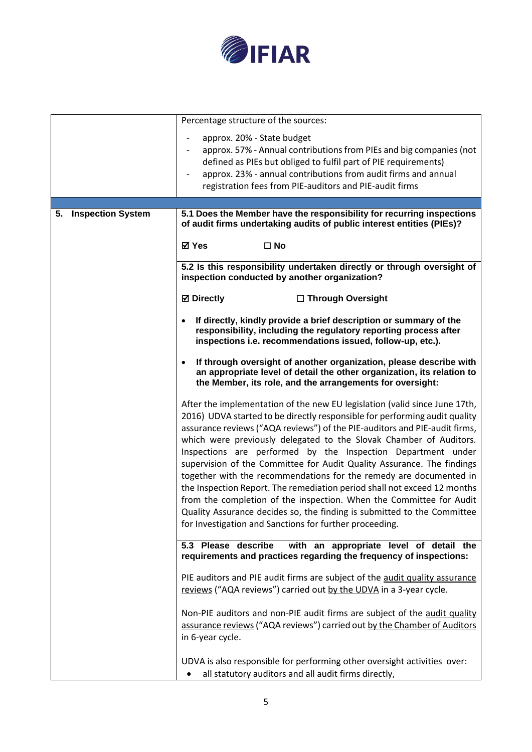

|                                | Percentage structure of the sources:                                                                                                                                                                                                                                                                                                                                                                                                                                                                                                                                                                                                                                                                                                                                                                                  |
|--------------------------------|-----------------------------------------------------------------------------------------------------------------------------------------------------------------------------------------------------------------------------------------------------------------------------------------------------------------------------------------------------------------------------------------------------------------------------------------------------------------------------------------------------------------------------------------------------------------------------------------------------------------------------------------------------------------------------------------------------------------------------------------------------------------------------------------------------------------------|
|                                | approx. 20% - State budget<br>approx. 57% - Annual contributions from PIEs and big companies (not<br>defined as PIEs but obliged to fulfil part of PIE requirements)<br>approx. 23% - annual contributions from audit firms and annual<br>registration fees from PIE-auditors and PIE-audit firms                                                                                                                                                                                                                                                                                                                                                                                                                                                                                                                     |
|                                |                                                                                                                                                                                                                                                                                                                                                                                                                                                                                                                                                                                                                                                                                                                                                                                                                       |
| <b>Inspection System</b><br>5. | 5.1 Does the Member have the responsibility for recurring inspections<br>of audit firms undertaking audits of public interest entities (PIEs)?                                                                                                                                                                                                                                                                                                                                                                                                                                                                                                                                                                                                                                                                        |
|                                | <b>⊠</b> Yes<br>$\square$ No                                                                                                                                                                                                                                                                                                                                                                                                                                                                                                                                                                                                                                                                                                                                                                                          |
|                                | 5.2 Is this responsibility undertaken directly or through oversight of<br>inspection conducted by another organization?                                                                                                                                                                                                                                                                                                                                                                                                                                                                                                                                                                                                                                                                                               |
|                                | <b>⊠</b> Directly<br>□ Through Oversight                                                                                                                                                                                                                                                                                                                                                                                                                                                                                                                                                                                                                                                                                                                                                                              |
|                                | If directly, kindly provide a brief description or summary of the<br>responsibility, including the regulatory reporting process after<br>inspections i.e. recommendations issued, follow-up, etc.).                                                                                                                                                                                                                                                                                                                                                                                                                                                                                                                                                                                                                   |
|                                | If through oversight of another organization, please describe with<br>$\bullet$<br>an appropriate level of detail the other organization, its relation to<br>the Member, its role, and the arrangements for oversight:                                                                                                                                                                                                                                                                                                                                                                                                                                                                                                                                                                                                |
|                                | After the implementation of the new EU legislation (valid since June 17th,<br>2016) UDVA started to be directly responsible for performing audit quality<br>assurance reviews ("AQA reviews") of the PIE-auditors and PIE-audit firms,<br>which were previously delegated to the Slovak Chamber of Auditors.<br>Inspections are performed by the Inspection Department under<br>supervision of the Committee for Audit Quality Assurance. The findings<br>together with the recommendations for the remedy are documented in<br>the Inspection Report. The remediation period shall not exceed 12 months<br>from the completion of the inspection. When the Committee for Audit<br>Quality Assurance decides so, the finding is submitted to the Committee<br>for Investigation and Sanctions for further proceeding. |
|                                | 5.3 Please describe with an appropriate level of detail the<br>requirements and practices regarding the frequency of inspections:                                                                                                                                                                                                                                                                                                                                                                                                                                                                                                                                                                                                                                                                                     |
|                                | PIE auditors and PIE audit firms are subject of the audit quality assurance<br>reviews ("AQA reviews") carried out by the UDVA in a 3-year cycle.                                                                                                                                                                                                                                                                                                                                                                                                                                                                                                                                                                                                                                                                     |
|                                | Non-PIE auditors and non-PIE audit firms are subject of the audit quality<br>assurance reviews ("AQA reviews") carried out by the Chamber of Auditors<br>in 6-year cycle.                                                                                                                                                                                                                                                                                                                                                                                                                                                                                                                                                                                                                                             |
|                                | UDVA is also responsible for performing other oversight activities over:<br>all statutory auditors and all audit firms directly,<br>$\bullet$                                                                                                                                                                                                                                                                                                                                                                                                                                                                                                                                                                                                                                                                         |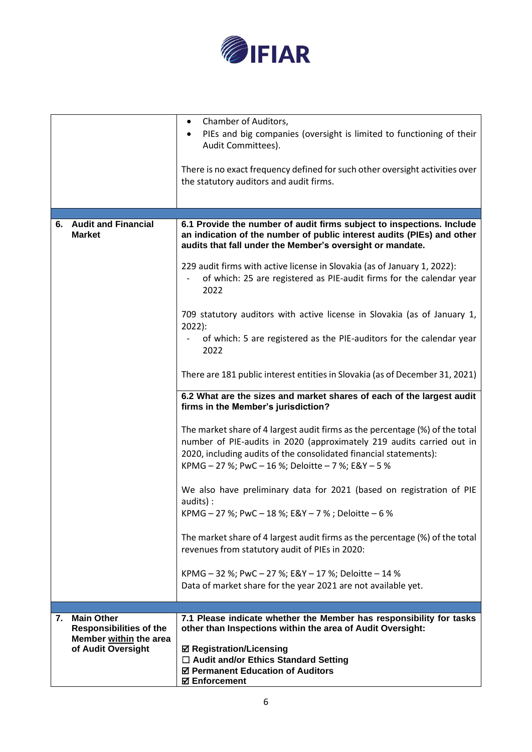

|                                                                                                           | Chamber of Auditors,<br>$\bullet$<br>PIEs and big companies (oversight is limited to functioning of their<br>Audit Committees).<br>There is no exact frequency defined for such other oversight activities over<br>the statutory auditors and audit firms.                       |
|-----------------------------------------------------------------------------------------------------------|----------------------------------------------------------------------------------------------------------------------------------------------------------------------------------------------------------------------------------------------------------------------------------|
| 6. Audit and Financial<br><b>Market</b>                                                                   | 6.1 Provide the number of audit firms subject to inspections. Include<br>an indication of the number of public interest audits (PIEs) and other<br>audits that fall under the Member's oversight or mandate.                                                                     |
|                                                                                                           | 229 audit firms with active license in Slovakia (as of January 1, 2022):<br>of which: 25 are registered as PIE-audit firms for the calendar year<br>2022                                                                                                                         |
|                                                                                                           | 709 statutory auditors with active license in Slovakia (as of January 1,<br>$2022$ :<br>of which: 5 are registered as the PIE-auditors for the calendar year<br>2022                                                                                                             |
|                                                                                                           | There are 181 public interest entities in Slovakia (as of December 31, 2021)                                                                                                                                                                                                     |
|                                                                                                           | 6.2 What are the sizes and market shares of each of the largest audit<br>firms in the Member's jurisdiction?                                                                                                                                                                     |
|                                                                                                           | The market share of 4 largest audit firms as the percentage (%) of the total<br>number of PIE-audits in 2020 (approximately 219 audits carried out in<br>2020, including audits of the consolidated financial statements):<br>KPMG - 27 %; PwC - 16 %; Deloitte - 7 %; E&Y - 5 % |
|                                                                                                           | We also have preliminary data for 2021 (based on registration of PIE<br>audits):<br>KPMG - 27 %; PwC - 18 %; E&Y - 7 %; Deloitte - 6 %                                                                                                                                           |
|                                                                                                           | The market share of 4 largest audit firms as the percentage (%) of the total<br>revenues from statutory audit of PIEs in 2020:                                                                                                                                                   |
|                                                                                                           | KPMG - 32 %; PwC - 27 %; E&Y - 17 %; Deloitte - 14 %<br>Data of market share for the year 2021 are not available yet.                                                                                                                                                            |
|                                                                                                           |                                                                                                                                                                                                                                                                                  |
| <b>Main Other</b><br>7.<br><b>Responsibilities of the</b><br>Member within the area<br>of Audit Oversight | 7.1 Please indicate whether the Member has responsibility for tasks<br>other than Inspections within the area of Audit Oversight:<br><b>Ø Registration/Licensing</b><br>□ Audit and/or Ethics Standard Setting<br>☑ Permanent Education of Auditors                              |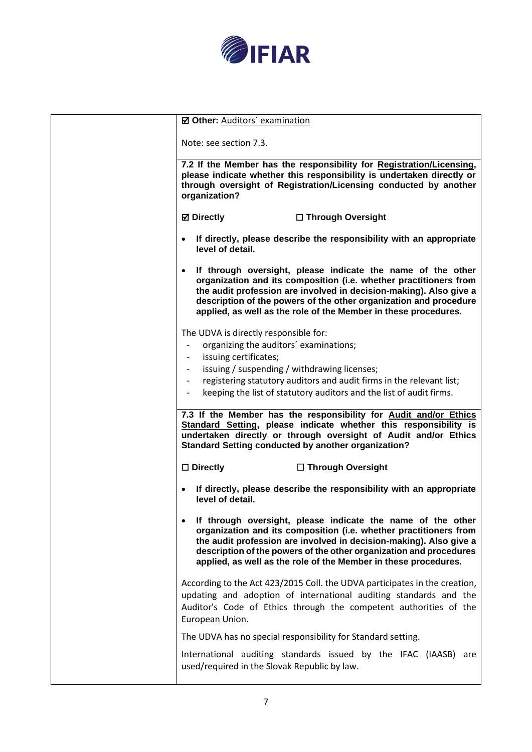

| <b>Ø Other: Auditors' examination</b>                                                                                                                                                                                                                                                                                                           |
|-------------------------------------------------------------------------------------------------------------------------------------------------------------------------------------------------------------------------------------------------------------------------------------------------------------------------------------------------|
| Note: see section 7.3.                                                                                                                                                                                                                                                                                                                          |
| 7.2 If the Member has the responsibility for Registration/Licensing,<br>please indicate whether this responsibility is undertaken directly or<br>through oversight of Registration/Licensing conducted by another<br>organization?                                                                                                              |
| <b>⊠</b> Directly<br>□ Through Oversight                                                                                                                                                                                                                                                                                                        |
| If directly, please describe the responsibility with an appropriate<br>level of detail.                                                                                                                                                                                                                                                         |
| If through oversight, please indicate the name of the other<br>organization and its composition (i.e. whether practitioners from<br>the audit profession are involved in decision-making). Also give a<br>description of the powers of the other organization and procedure<br>applied, as well as the role of the Member in these procedures.  |
| The UDVA is directly responsible for:                                                                                                                                                                                                                                                                                                           |
| organizing the auditors' examinations;                                                                                                                                                                                                                                                                                                          |
| issuing certificates;                                                                                                                                                                                                                                                                                                                           |
| issuing / suspending / withdrawing licenses;                                                                                                                                                                                                                                                                                                    |
| registering statutory auditors and audit firms in the relevant list;                                                                                                                                                                                                                                                                            |
| keeping the list of statutory auditors and the list of audit firms.                                                                                                                                                                                                                                                                             |
| 7.3 If the Member has the responsibility for Audit and/or Ethics<br>Standard Setting, please indicate whether this responsibility is<br>undertaken directly or through oversight of Audit and/or Ethics<br><b>Standard Setting conducted by another organization?</b>                                                                           |
| $\square$ Directly<br>$\Box$ Through Oversight                                                                                                                                                                                                                                                                                                  |
| If directly, please describe the responsibility with an appropriate<br>level of detail.                                                                                                                                                                                                                                                         |
| If through oversight, please indicate the name of the other<br>organization and its composition (i.e. whether practitioners from<br>the audit profession are involved in decision-making). Also give a<br>description of the powers of the other organization and procedures<br>applied, as well as the role of the Member in these procedures. |
| According to the Act 423/2015 Coll. the UDVA participates in the creation,<br>updating and adoption of international auditing standards and the<br>Auditor's Code of Ethics through the competent authorities of the<br>European Union.                                                                                                         |
| The UDVA has no special responsibility for Standard setting.                                                                                                                                                                                                                                                                                    |
| International auditing standards issued by the IFAC (IAASB) are                                                                                                                                                                                                                                                                                 |
| used/required in the Slovak Republic by law.                                                                                                                                                                                                                                                                                                    |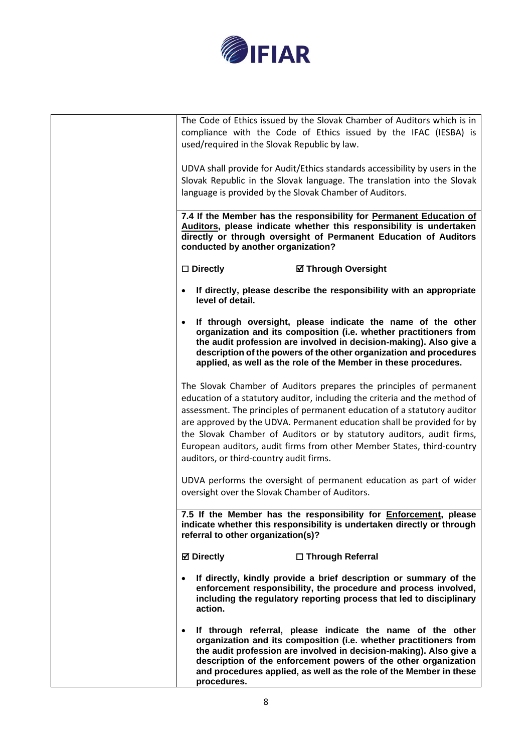

| The Code of Ethics issued by the Slovak Chamber of Auditors which is in                                                                                                                                                                                                                                                                                       |
|---------------------------------------------------------------------------------------------------------------------------------------------------------------------------------------------------------------------------------------------------------------------------------------------------------------------------------------------------------------|
| compliance with the Code of Ethics issued by the IFAC (IESBA) is<br>used/required in the Slovak Republic by law.                                                                                                                                                                                                                                              |
|                                                                                                                                                                                                                                                                                                                                                               |
| UDVA shall provide for Audit/Ethics standards accessibility by users in the                                                                                                                                                                                                                                                                                   |
| Slovak Republic in the Slovak language. The translation into the Slovak                                                                                                                                                                                                                                                                                       |
| language is provided by the Slovak Chamber of Auditors.                                                                                                                                                                                                                                                                                                       |
| 7.4 If the Member has the responsibility for Permanent Education of                                                                                                                                                                                                                                                                                           |
| Auditors, please indicate whether this responsibility is undertaken<br>directly or through oversight of Permanent Education of Auditors<br>conducted by another organization?                                                                                                                                                                                 |
| $\square$ Directly<br><b>Ø Through Oversight</b>                                                                                                                                                                                                                                                                                                              |
| If directly, please describe the responsibility with an appropriate<br>level of detail.                                                                                                                                                                                                                                                                       |
| If through oversight, please indicate the name of the other<br>organization and its composition (i.e. whether practitioners from<br>the audit profession are involved in decision-making). Also give a<br>description of the powers of the other organization and procedures<br>applied, as well as the role of the Member in these procedures.               |
| The Slovak Chamber of Auditors prepares the principles of permanent                                                                                                                                                                                                                                                                                           |
| education of a statutory auditor, including the criteria and the method of                                                                                                                                                                                                                                                                                    |
| assessment. The principles of permanent education of a statutory auditor                                                                                                                                                                                                                                                                                      |
| are approved by the UDVA. Permanent education shall be provided for by<br>the Slovak Chamber of Auditors or by statutory auditors, audit firms,                                                                                                                                                                                                               |
| European auditors, audit firms from other Member States, third-country                                                                                                                                                                                                                                                                                        |
| auditors, or third-country audit firms.                                                                                                                                                                                                                                                                                                                       |
| UDVA performs the oversight of permanent education as part of wider                                                                                                                                                                                                                                                                                           |
| oversight over the Slovak Chamber of Auditors.                                                                                                                                                                                                                                                                                                                |
| 7.5 If the Member has the responsibility for <b>Enforcement</b> , please<br>indicate whether this responsibility is undertaken directly or through<br>referral to other organization(s)?                                                                                                                                                                      |
| <b>⊠</b> Directly<br>□ Through Referral                                                                                                                                                                                                                                                                                                                       |
| If directly, kindly provide a brief description or summary of the<br>enforcement responsibility, the procedure and process involved,<br>including the regulatory reporting process that led to disciplinary<br>action.                                                                                                                                        |
| If through referral, please indicate the name of the other<br>organization and its composition (i.e. whether practitioners from<br>the audit profession are involved in decision-making). Also give a<br>description of the enforcement powers of the other organization<br>and procedures applied, as well as the role of the Member in these<br>procedures. |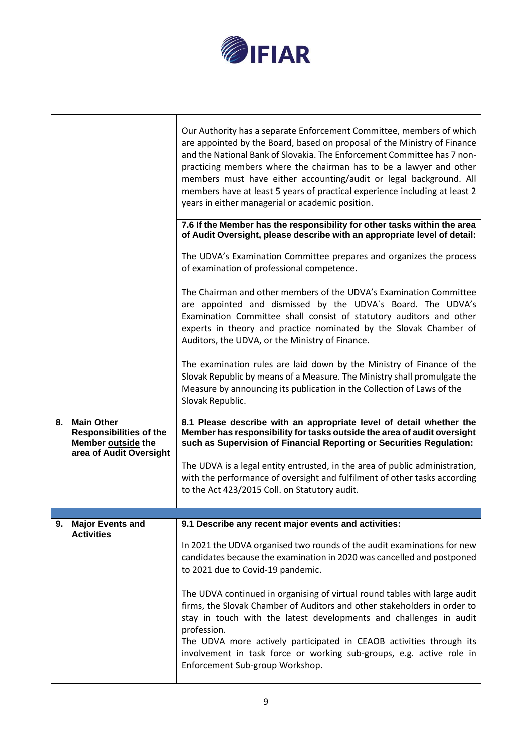

|    |                                                                                                      | Our Authority has a separate Enforcement Committee, members of which<br>are appointed by the Board, based on proposal of the Ministry of Finance<br>and the National Bank of Slovakia. The Enforcement Committee has 7 non-<br>practicing members where the chairman has to be a lawyer and other<br>members must have either accounting/audit or legal background. All<br>members have at least 5 years of practical experience including at least 2<br>years in either managerial or academic position. |
|----|------------------------------------------------------------------------------------------------------|-----------------------------------------------------------------------------------------------------------------------------------------------------------------------------------------------------------------------------------------------------------------------------------------------------------------------------------------------------------------------------------------------------------------------------------------------------------------------------------------------------------|
|    |                                                                                                      | 7.6 If the Member has the responsibility for other tasks within the area<br>of Audit Oversight, please describe with an appropriate level of detail:                                                                                                                                                                                                                                                                                                                                                      |
|    |                                                                                                      | The UDVA's Examination Committee prepares and organizes the process<br>of examination of professional competence.                                                                                                                                                                                                                                                                                                                                                                                         |
|    |                                                                                                      | The Chairman and other members of the UDVA's Examination Committee<br>are appointed and dismissed by the UDVA's Board. The UDVA's<br>Examination Committee shall consist of statutory auditors and other<br>experts in theory and practice nominated by the Slovak Chamber of<br>Auditors, the UDVA, or the Ministry of Finance.                                                                                                                                                                          |
|    |                                                                                                      | The examination rules are laid down by the Ministry of Finance of the<br>Slovak Republic by means of a Measure. The Ministry shall promulgate the<br>Measure by announcing its publication in the Collection of Laws of the<br>Slovak Republic.                                                                                                                                                                                                                                                           |
|    |                                                                                                      |                                                                                                                                                                                                                                                                                                                                                                                                                                                                                                           |
| 8. | <b>Main Other</b><br><b>Responsibilities of the</b><br>Member outside the<br>area of Audit Oversight | 8.1 Please describe with an appropriate level of detail whether the<br>Member has responsibility for tasks outside the area of audit oversight<br>such as Supervision of Financial Reporting or Securities Regulation:                                                                                                                                                                                                                                                                                    |
|    |                                                                                                      | The UDVA is a legal entity entrusted, in the area of public administration,<br>with the performance of oversight and fulfilment of other tasks according<br>to the Act 423/2015 Coll. on Statutory audit.                                                                                                                                                                                                                                                                                                 |
|    |                                                                                                      |                                                                                                                                                                                                                                                                                                                                                                                                                                                                                                           |